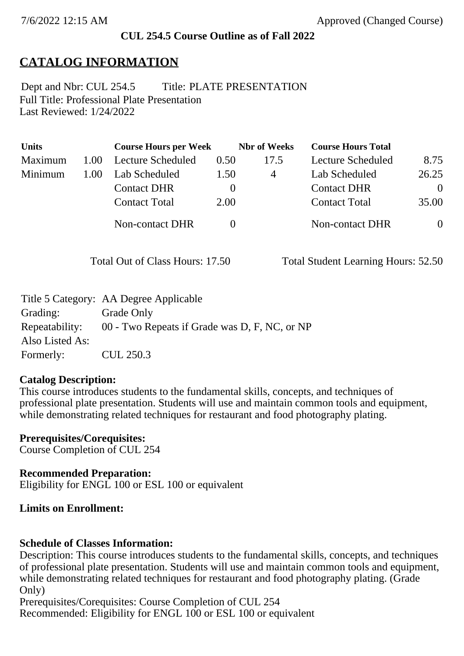### **CUL 254.5 Course Outline as of Fall 2022**

## **CATALOG INFORMATION**

Full Title: Professional Plate Presentation Last Reviewed: 1/24/2022 Dept and Nbr: CUL 254.5 Title: PLATE PRESENTATION

| <b>Units</b> |      | <b>Course Hours per Week</b> |          | <b>Nbr</b> of Weeks | <b>Course Hours Total</b> |                |
|--------------|------|------------------------------|----------|---------------------|---------------------------|----------------|
| Maximum      | 1.00 | <b>Lecture Scheduled</b>     | 0.50     | 17.5                | Lecture Scheduled         | 8.75           |
| Minimum      | 1.00 | Lab Scheduled                | 1.50     | 4                   | Lab Scheduled             | 26.25          |
|              |      | <b>Contact DHR</b>           | $\theta$ |                     | <b>Contact DHR</b>        | $\Omega$       |
|              |      | <b>Contact Total</b>         | 2.00     |                     | <b>Contact Total</b>      | 35.00          |
|              |      | Non-contact DHR              |          |                     | Non-contact DHR           | $\overline{0}$ |

Total Out of Class Hours: 17.50 Total Student Learning Hours: 52.50

|                 | Title 5 Category: AA Degree Applicable        |
|-----------------|-----------------------------------------------|
| Grading:        | Grade Only                                    |
| Repeatability:  | 00 - Two Repeats if Grade was D, F, NC, or NP |
| Also Listed As: |                                               |
| Formerly:       | CUL 250.3                                     |

#### **Catalog Description:**

This course introduces students to the fundamental skills, concepts, and techniques of professional plate presentation. Students will use and maintain common tools and equipment, while demonstrating related techniques for restaurant and food photography plating.

**Prerequisites/Corequisites:** Course Completion of CUL 254

**Recommended Preparation:** Eligibility for ENGL 100 or ESL 100 or equivalent

### **Limits on Enrollment:**

### **Schedule of Classes Information:**

Description: This course introduces students to the fundamental skills, concepts, and techniques of professional plate presentation. Students will use and maintain common tools and equipment, while demonstrating related techniques for restaurant and food photography plating. (Grade Only)

Prerequisites/Corequisites: Course Completion of CUL 254 Recommended: Eligibility for ENGL 100 or ESL 100 or equivalent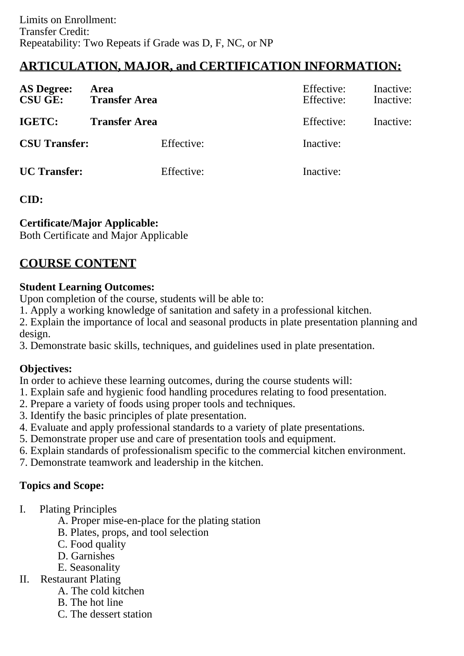# **ARTICULATION, MAJOR, and CERTIFICATION INFORMATION:**

| <b>AS Degree:</b><br><b>CSU GE:</b> | Area<br><b>Transfer Area</b> | Effective:<br>Effective: | Inactive:<br>Inactive: |
|-------------------------------------|------------------------------|--------------------------|------------------------|
| IGETC:                              | <b>Transfer Area</b>         | Effective:               | Inactive:              |
| <b>CSU Transfer:</b>                | Effective:                   | Inactive:                |                        |
| <b>UC</b> Transfer:                 | Effective:                   | Inactive:                |                        |

### **CID:**

## **Certificate/Major Applicable:**

[Both Certificate and Major Applicable](SR_ClassCheck.aspx?CourseKey=CUL254.5)

# **COURSE CONTENT**

### **Student Learning Outcomes:**

Upon completion of the course, students will be able to:

1. Apply a working knowledge of sanitation and safety in a professional kitchen.

2. Explain the importance of local and seasonal products in plate presentation planning and design.

3. Demonstrate basic skills, techniques, and guidelines used in plate presentation.

### **Objectives:**

In order to achieve these learning outcomes, during the course students will:

- 1. Explain safe and hygienic food handling procedures relating to food presentation.
- 2. Prepare a variety of foods using proper tools and techniques.
- 3. Identify the basic principles of plate presentation.
- 4. Evaluate and apply professional standards to a variety of plate presentations.
- 5. Demonstrate proper use and care of presentation tools and equipment.
- 6. Explain standards of professionalism specific to the commercial kitchen environment.
- 7. Demonstrate teamwork and leadership in the kitchen.

## **Topics and Scope:**

- I. Plating Principles
	- A. Proper mise-en-place for the plating station
	- B. Plates, props, and tool selection
	- C. Food quality
	- D. Garnishes
	- E. Seasonality
- II. Restaurant Plating
	- A. The cold kitchen
	- B. The hot line
	- C. The dessert station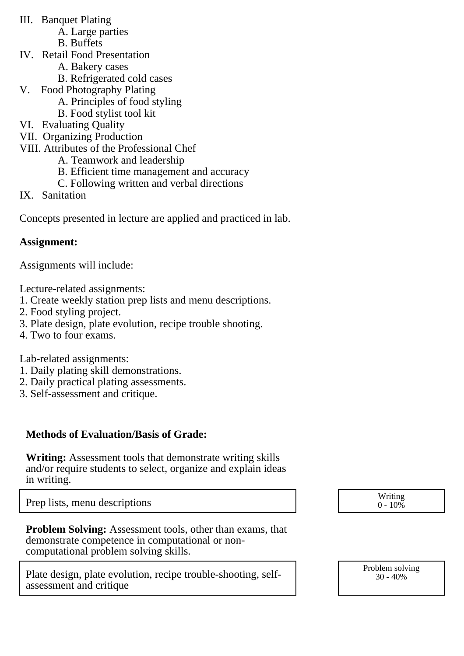- III. Banquet Plating
	- A. Large parties
	- B. Buffets
- IV. Retail Food Presentation
	- A. Bakery cases
	- B. Refrigerated cold cases
- V. Food Photography Plating
	- A. Principles of food styling
	- B. Food stylist tool kit
- VI. Evaluating Quality
- VII. Organizing Production
- VIII. Attributes of the Professional Chef
	- A. Teamwork and leadership
	- B. Efficient time management and accuracy
	- C. Following written and verbal directions
- IX. Sanitation

Concepts presented in lecture are applied and practiced in lab.

## **Assignment:**

Assignments will include:

Lecture-related assignments:

- 1. Create weekly station prep lists and menu descriptions.
- 2. Food styling project.
- 3. Plate design, plate evolution, recipe trouble shooting.
- 4. Two to four exams.

Lab-related assignments:

- 1. Daily plating skill demonstrations.
- 2. Daily practical plating assessments.
- 3. Self-assessment and critique.

## **Methods of Evaluation/Basis of Grade:**

**Writing:** Assessment tools that demonstrate writing skills and/or require students to select, organize and explain ideas in writing.

Prep lists, menu descriptions and the set of the set of the set of the set of the set of the set of the set of the set of the set of the set of the set of the set of the set of the set of the set of the set of the set of t

**Problem Solving:** Assessment tools, other than exams, that demonstrate competence in computational or noncomputational problem solving skills.

Plate design, plate evolution, recipe trouble-shooting, selfassessment and critique

 $0 - 10\%$ 

Problem solving 30 - 40%